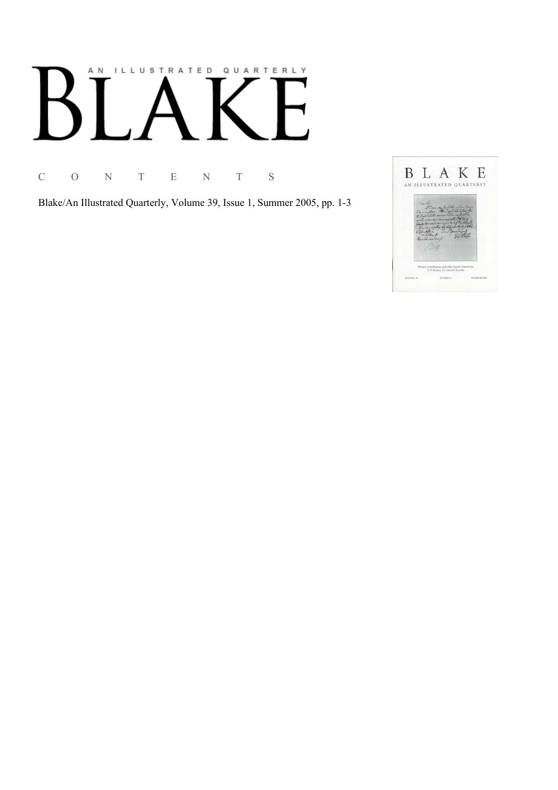# AN ILLUSTRATED QUARTERLY

C O N T E N T S

Blake/An Illustrated Quarterly, Volume 39, Issue 1, Summer 2005, pp. 1-3

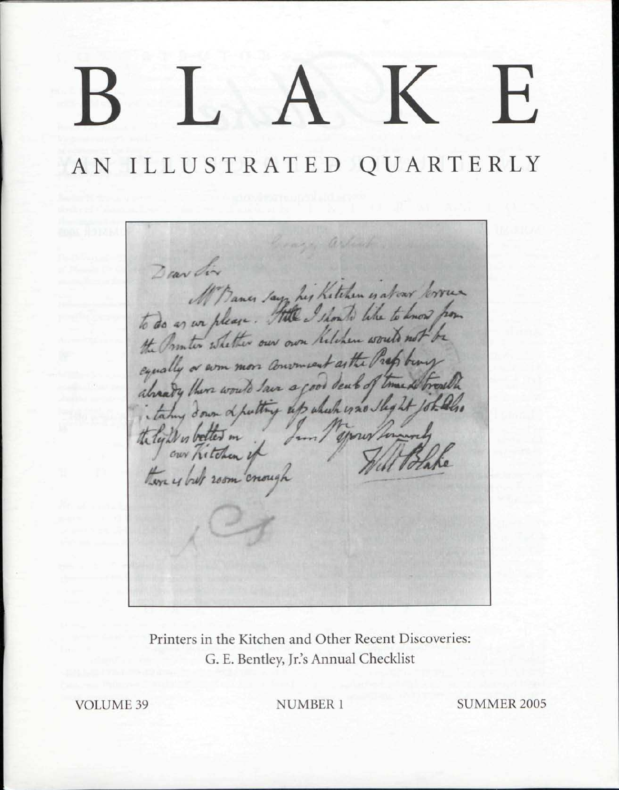## $\overline{\phantom{a}}$

AN ILLUSTRATED QUARTERLY

arle Dear dir M'Bancs say his Kitchen is about lower equally a som more convenient as the Prop berry already there would lave a good deat of time. taking down of putting up which is no sleg 21 the ly De to better in Here y but room crough

Printers in the Kitchen and Other Recent Discoveries: G. E. Bentley, Jr.'s Annual Checklist

**VOLUME 39** 

**NUMBER 1** 

**SUMMER 2005**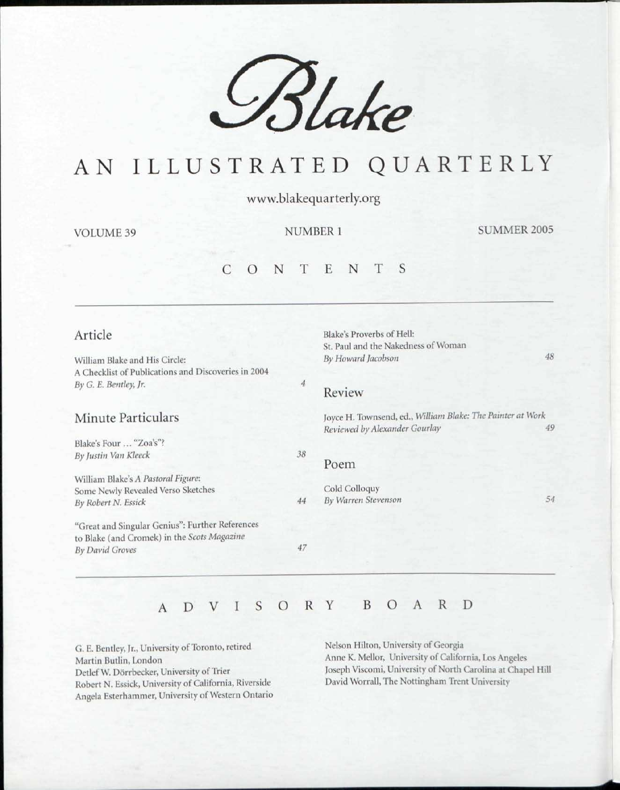

### AN ILLUSTRATED QUARTERLY

www.blakequarterly.org

VOLUME 39 NUMBER 1 SUMMER 2005

#### C O N T E N T

#### Article

William Blake and His Circle: A Checklist of Publications and Discoveries in 2004 *By G. E. Bentley, Jr.* 

#### Minute Particulars

Blake's Four ... "Zoa's"? *By Justin Van Kleeck* 

William Blake's *A Pastoral Figure:*  Some Newly Revealed Verso Sketches *By Robert N. Essick* 

"Great and Singular Genius": Further References to Blake (and Cromek) in the *Scots Magazine By David Groves* 

#### Review

Blake's Proverbs of Hell:

St. Paul and the Nakedness of Woman

Joyce H. Townsend, ed., *William Blake: The Painter at Work Reviewed by Alexander Gourlay 49* 

*By Howard Jacobson 48* 

#### Poem

*38* 

 $\overline{4}$ 

*47* 

*44*  Cold Colloquy *By Warren Stevenson 54* 

#### ADVISOR Y BOAR D

G. E. Bentley, Jr., University of Toronto, retired Martin Butlin, London Detlef W. Dörrbecker, University of Trier Robert N. Essick, University of California, Riverside Angela Esterhammer, University of Western Ontario Nelson Hilton, University of Georgia Anne K. Mellor, University of California, Los Angeles Joseph Viscomi, University of North Carolina at Chapel Hill David Worrall, The Nottingham Trent University